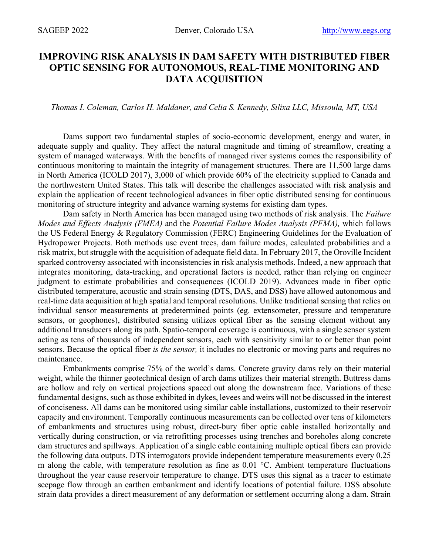## **IMPROVING RISK ANALYSIS IN DAM SAFETY WITH DISTRIBUTED FIBER OPTIC SENSING FOR AUTONOMOUS, REAL-TIME MONITORING AND DATA ACQUISITION**

## *Thomas I. Coleman, Carlos H. Maldaner, and Celia S. Kennedy, Silixa LLC, Missoula, MT, USA*

Dams support two fundamental staples of socio-economic development, energy and water, in adequate supply and quality. They affect the natural magnitude and timing of streamflow, creating a system of managed waterways. With the benefits of managed river systems comes the responsibility of continuous monitoring to maintain the integrity of management structures. There are 11,500 large dams in North America (ICOLD 2017), 3,000 of which provide 60% of the electricity supplied to Canada and the northwestern United States. This talk will describe the challenges associated with risk analysis and explain the application of recent technological advances in fiber optic distributed sensing for continuous monitoring of structure integrity and advance warning systems for existing dam types.

Dam safety in North America has been managed using two methods of risk analysis. The *Failure Modes and Effects Analysis (FMEA)* and the *Potential Failure Modes Analysis (PFMA),* which follows the US Federal Energy & Regulatory Commission (FERC) Engineering Guidelines for the Evaluation of Hydropower Projects. Both methods use event trees, dam failure modes, calculated probabilities and a risk matrix, but struggle with the acquisition of adequate field data. In February 2017, the Oroville Incident sparked controversy associated with inconsistencies in risk analysis methods. Indeed, a new approach that integrates monitoring, data-tracking, and operational factors is needed, rather than relying on engineer judgment to estimate probabilities and consequences (ICOLD 2019). Advances made in fiber optic distributed temperature, acoustic and strain sensing (DTS, DAS, and DSS) have allowed autonomous and real-time data acquisition at high spatial and temporal resolutions. Unlike traditional sensing that relies on individual sensor measurements at predetermined points (eg. extensometer, pressure and temperature sensors, or geophones), distributed sensing utilizes optical fiber as the sensing element without any additional transducers along its path. Spatio-temporal coverage is continuous, with a single sensor system acting as tens of thousands of independent sensors, each with sensitivity similar to or better than point sensors. Because the optical fiber *is the sensor,* it includes no electronic or moving parts and requires no maintenance.

Embankments comprise 75% of the world's dams. Concrete gravity dams rely on their material weight, while the thinner geotechnical design of arch dams utilizes their material strength. Buttress dams are hollow and rely on vertical projections spaced out along the downstream face. Variations of these fundamental designs, such as those exhibited in dykes, levees and weirs will not be discussed in the interest of conciseness. All dams can be monitored using similar cable installations, customized to their reservoir capacity and environment. Temporally continuous measurements can be collected over tens of kilometers of embankments and structures using robust, direct-bury fiber optic cable installed horizontally and vertically during construction, or via retrofitting processes using trenches and boreholes along concrete dam structures and spillways. Application of a single cable containing multiple optical fibers can provide the following data outputs. DTS interrogators provide independent temperature measurements every 0.25 m along the cable, with temperature resolution as fine as 0.01 °C. Ambient temperature fluctuations throughout the year cause reservoir temperature to change. DTS uses this signal as a tracer to estimate seepage flow through an earthen embankment and identify locations of potential failure. DSS absolute strain data provides a direct measurement of any deformation or settlement occurring along a dam. Strain